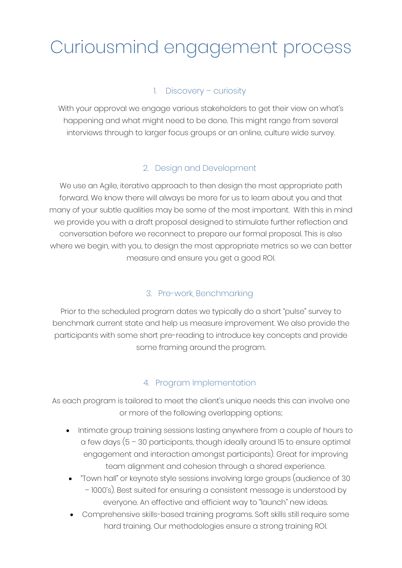# Curiousmind engagement process

### 1. Discovery – curiosity

With your approval we engage various stakeholders to get their view on what's happening and what might need to be done. This might range from several interviews through to larger focus groups or an online, culture wide survey.

#### 2. Design and Development

We use an Agile, iterative approach to then design the most appropriate path forward. We know there will always be more for us to learn about you and that many of your subtle qualities may be some of the most important. With this in mind we provide you with a draft proposal designed to stimulate further reflection and conversation before we reconnect to prepare our formal proposal. This is also where we begin, with you, to design the most appropriate metrics so we can better measure and ensure you get a good ROI.

#### 3. Pre-work, Benchmarking

Prior to the scheduled program dates we typically do a short "pulse" survey to benchmark current state and help us measure improvement. We also provide the participants with some short pre-reading to introduce key concepts and provide some framing around the program.

## 4. Program Implementation

As each program is tailored to meet the client's unique needs this can involve one or more of the following overlapping options;

- Intimate group training sessions lasting anywhere from a couple of hours to a few days (5 – 30 participants, though ideally around 15 to ensure optimal engagement and interaction amongst participants). Great for improving team alignment and cohesion through a shared experience.
- "Town hall" or keynote style sessions involving large groups (audience of 30 – 1000's). Best suited for ensuring a consistent message is understood by everyone. An effective and efficient way to "launch" new ideas.
- Comprehensive skills-based training programs. Soft skills still require some hard training. Our methodologies ensure a strong training ROI.